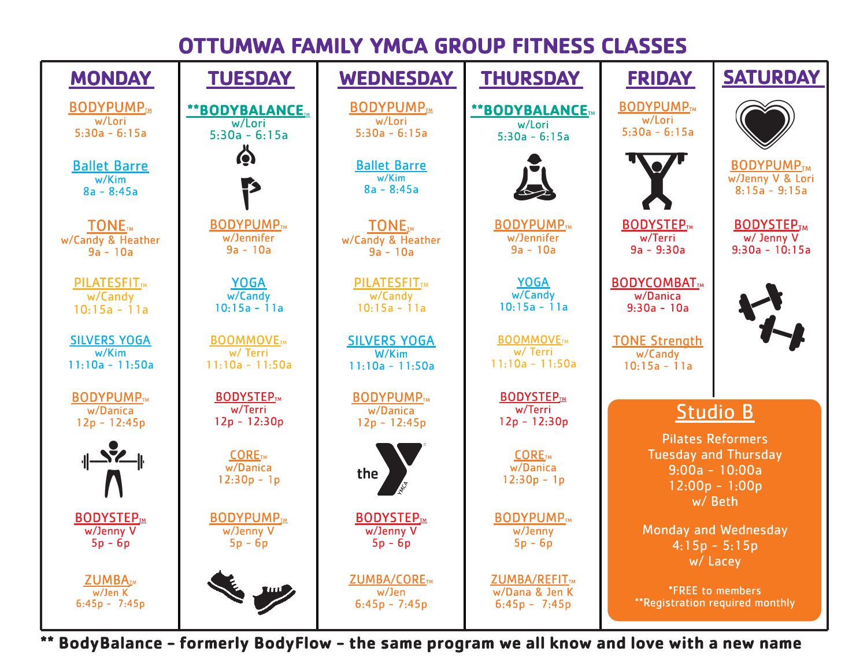## OTTUMWA FAMILY YMCA GROUP FITNESS CLASSES



\*\* BodyBalance - formerly BodyFlow - the same program we all know and love with a new name